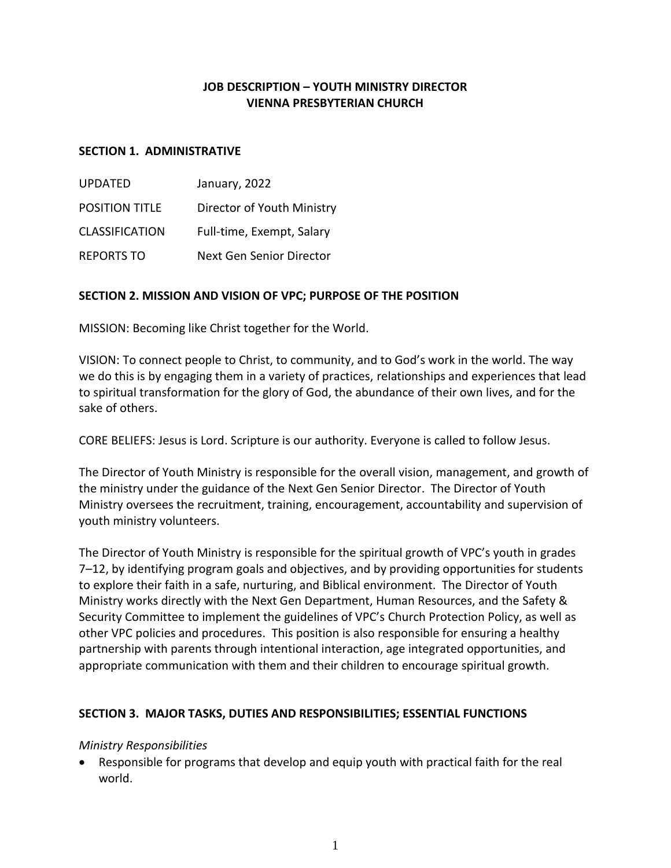# **JOB DESCRIPTION – YOUTH MINISTRY DIRECTOR VIENNA PRESBYTERIAN CHURCH**

#### **SECTION 1. ADMINISTRATIVE**

| <b>UPDATED</b>        | January, 2022              |
|-----------------------|----------------------------|
| <b>POSITION TITLE</b> | Director of Youth Ministry |
| <b>CLASSIFICATION</b> | Full-time, Exempt, Salary  |
| <b>REPORTS TO</b>     | Next Gen Senior Director   |

## **SECTION 2. MISSION AND VISION OF VPC; PURPOSE OF THE POSITION**

MISSION: Becoming like Christ together for the World.

VISION: To connect people to Christ, to community, and to God's work in the world. The way we do this is by engaging them in a variety of practices, relationships and experiences that lead to spiritual transformation for the glory of God, the abundance of their own lives, and for the sake of others.

CORE BELIEFS: Jesus is Lord. Scripture is our authority. Everyone is called to follow Jesus.

The Director of Youth Ministry is responsible for the overall vision, management, and growth of the ministry under the guidance of the Next Gen Senior Director. The Director of Youth Ministry oversees the recruitment, training, encouragement, accountability and supervision of youth ministry volunteers.

The Director of Youth Ministry is responsible for the spiritual growth of VPC's youth in grades 7–12, by identifying program goals and objectives, and by providing opportunities for students to explore their faith in a safe, nurturing, and Biblical environment. The Director of Youth Ministry works directly with the Next Gen Department, Human Resources, and the Safety & Security Committee to implement the guidelines of VPC's Church Protection Policy, as well as other VPC policies and procedures. This position is also responsible for ensuring a healthy partnership with parents through intentional interaction, age integrated opportunities, and appropriate communication with them and their children to encourage spiritual growth.

## **SECTION 3. MAJOR TASKS, DUTIES AND RESPONSIBILITIES; ESSENTIAL FUNCTIONS**

#### *Ministry Responsibilities*

 Responsible for programs that develop and equip youth with practical faith for the real world.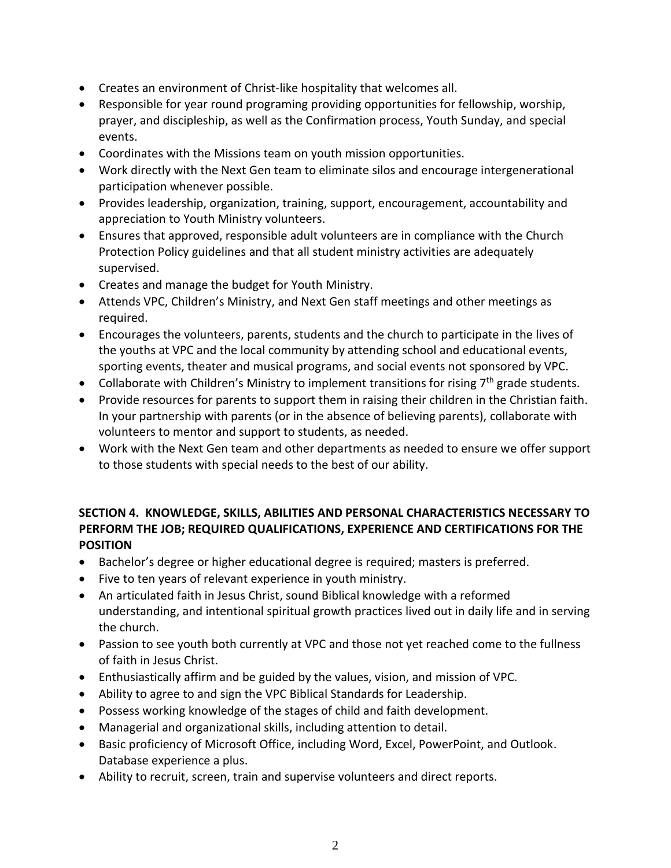- Creates an environment of Christ-like hospitality that welcomes all.
- Responsible for year round programing providing opportunities for fellowship, worship, prayer, and discipleship, as well as the Confirmation process, Youth Sunday, and special events.
- Coordinates with the Missions team on youth mission opportunities.
- Work directly with the Next Gen team to eliminate silos and encourage intergenerational participation whenever possible.
- Provides leadership, organization, training, support, encouragement, accountability and appreciation to Youth Ministry volunteers.
- Ensures that approved, responsible adult volunteers are in compliance with the Church Protection Policy guidelines and that all student ministry activities are adequately supervised.
- Creates and manage the budget for Youth Ministry.
- Attends VPC, Children's Ministry, and Next Gen staff meetings and other meetings as required.
- Encourages the volunteers, parents, students and the church to participate in the lives of the youths at VPC and the local community by attending school and educational events, sporting events, theater and musical programs, and social events not sponsored by VPC.
- Collaborate with Children's Ministry to implement transitions for rising  $7<sup>th</sup>$  grade students.
- Provide resources for parents to support them in raising their children in the Christian faith. In your partnership with parents (or in the absence of believing parents), collaborate with volunteers to mentor and support to students, as needed.
- Work with the Next Gen team and other departments as needed to ensure we offer support to those students with special needs to the best of our ability.

# **SECTION 4. KNOWLEDGE, SKILLS, ABILITIES AND PERSONAL CHARACTERISTICS NECESSARY TO PERFORM THE JOB; REQUIRED QUALIFICATIONS, EXPERIENCE AND CERTIFICATIONS FOR THE POSITION**

- Bachelor's degree or higher educational degree is required; masters is preferred.
- Five to ten years of relevant experience in youth ministry.
- An articulated faith in Jesus Christ, sound Biblical knowledge with a reformed understanding, and intentional spiritual growth practices lived out in daily life and in serving the church.
- Passion to see youth both currently at VPC and those not yet reached come to the fullness of faith in Jesus Christ.
- Enthusiastically affirm and be guided by the values, vision, and mission of VPC.
- Ability to agree to and sign the VPC Biblical Standards for Leadership.
- Possess working knowledge of the stages of child and faith development.
- Managerial and organizational skills, including attention to detail.
- Basic proficiency of Microsoft Office, including Word, Excel, PowerPoint, and Outlook. Database experience a plus.
- Ability to recruit, screen, train and supervise volunteers and direct reports.